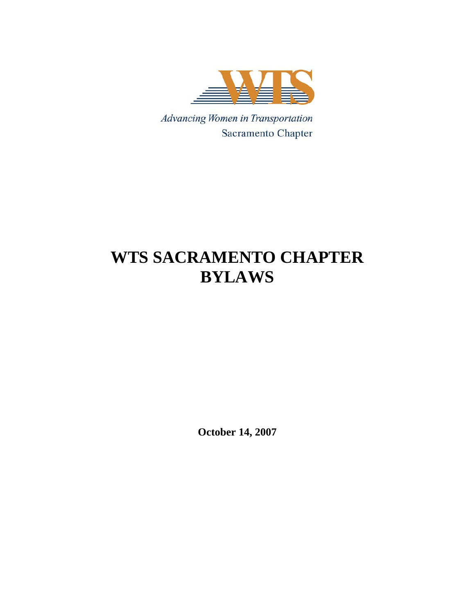

Advancing Women in Transportation Sacramento Chapter

# **WTS SACRAMENTO CHAPTER BYLAWS**

**October 14, 2007**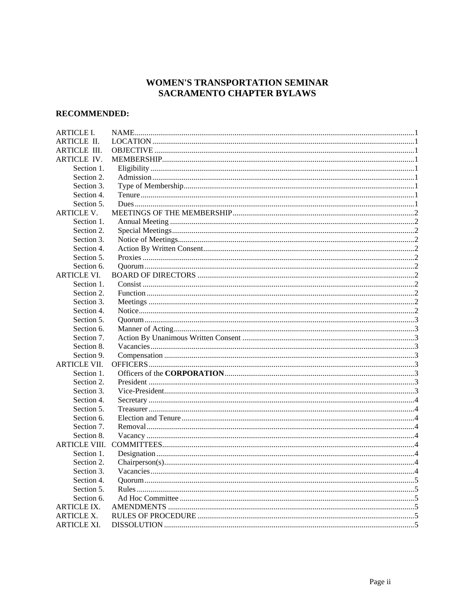# WOMEN'S TRANSPORTATION SEMINAR SACRAMENTO CHAPTER BYLAWS

# **RECOMMENDED:**

| <b>ARTICLE I.</b>    |  |  |
|----------------------|--|--|
| <b>ARTICLE II.</b>   |  |  |
| <b>ARTICLE III.</b>  |  |  |
| ARTICLE IV.          |  |  |
| Section 1.           |  |  |
| Section 2.           |  |  |
| Section 3.           |  |  |
| Section 4.           |  |  |
| Section 5.           |  |  |
| <b>ARTICLE V.</b>    |  |  |
| Section 1.           |  |  |
| Section 2.           |  |  |
| Section 3.           |  |  |
| Section 4.           |  |  |
| Section 5.           |  |  |
| Section 6.           |  |  |
| <b>ARTICLE VI.</b>   |  |  |
| Section 1.           |  |  |
| Section 2.           |  |  |
| Section 3.           |  |  |
| Section 4.           |  |  |
| Section 5.           |  |  |
| Section 6.           |  |  |
| Section 7.           |  |  |
| Section 8.           |  |  |
| Section 9.           |  |  |
| <b>ARTICLE VII.</b>  |  |  |
| Section 1.           |  |  |
| Section 2.           |  |  |
| Section 3.           |  |  |
| Section 4.           |  |  |
| Section 5.           |  |  |
| Section 6.           |  |  |
| Section 7.           |  |  |
| Section 8.           |  |  |
| <b>ARTICLE VIII.</b> |  |  |
| Section 1.           |  |  |
| Section 2.           |  |  |
| Section 3.           |  |  |
| Section 4.           |  |  |
| Section 5.           |  |  |
| Section 6.           |  |  |
| <b>ARTICLE IX.</b>   |  |  |
| <b>ARTICLE X.</b>    |  |  |
| ARTICLE XI.          |  |  |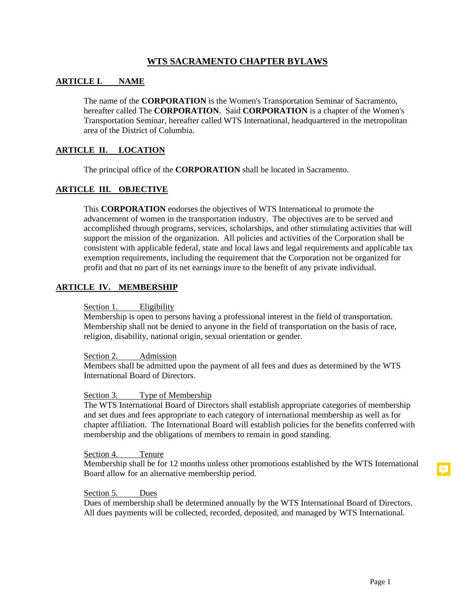# **WTS SACRAMENTO CHAPTER BYLAWS**

# **ARTICLE I. NAME**

The name of the **CORPORATION** is the Women's Transportation Seminar of Sacramento, hereafter called The **CORPORATION**. Said **CORPORATION** is a chapter of the Women's Transportation Seminar, hereafter called WTS International, headquartered in the metropolitan area of the District of Columbia.

#### **ARTICLE II. LOCATION**

The principal office of the **CORPORATION** shall be located in Sacramento.

# **ARTICLE III. OBJECTIVE**

This **CORPORATION** endorses the objectives of WTS International to promote the advancement of women in the transportation industry. The objectives are to be served and accomplished through programs, services, scholarships, and other stimulating activities that will support the mission of the organization. All policies and activities of the Corporation shall be consistent with applicable federal, state and local laws and legal requirements and applicable tax exemption requirements, including the requirement that the Corporation not be organized for profit and that no part of its net earnings inure to the benefit of any private individual.

#### **ARTICLE IV. MEMBERSHIP**

# Section 1. Eligibility

Membership is open to persons having a professional interest in the field of transportation. Membership shall not be denied to anyone in the field of transportation on the basis of race, religion, disability, national origin, sexual orientation or gender.

#### Section 2. Admission

Members shall be admitted upon the payment of all fees and dues as determined by the WTS International Board of Directors.

#### Section 3. Type of Membership

The WTS International Board of Directors shall establish appropriate categories of membership and set dues and fees appropriate to each category of international membership as well as for chapter affiliation. The International Board will establish policies for the benefits conferred with membership and the obligations of members to remain in good standing.

Section 4. Tenure

Membership shall be for 12 months unless other promotions established by the WTS International Board allow for an alternative membership period.

#### Section 5. Dues

Dues of membership shall be determined annually by the WTS International Board of Directors. All dues payments will be collected, recorded, deposited, and managed by WTS International.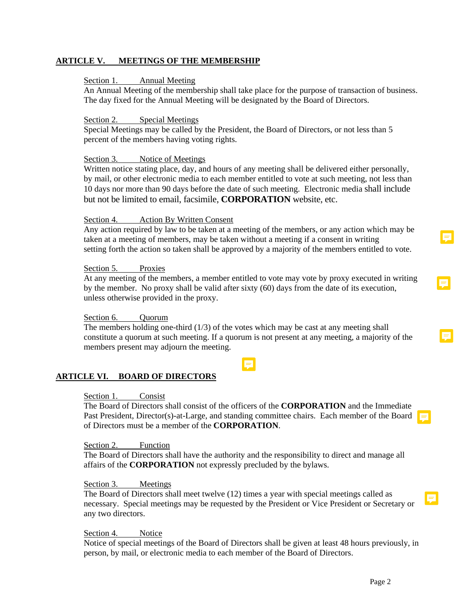# **ARTICLE V. MEETINGS OF THE MEMBERSHIP**

# Section 1. Annual Meeting

An Annual Meeting of the membership shall take place for the purpose of transaction of business. The day fixed for the Annual Meeting will be designated by the Board of Directors.

#### Section 2. Special Meetings

Special Meetings may be called by the President, the Board of Directors, or not less than 5 percent of the members having voting rights.

#### Section 3. Notice of Meetings

Written notice stating place, day, and hours of any meeting shall be delivered either personally, by mail, or other electronic media to each member entitled to vote at such meeting, not less than 10 days nor more than 90 days before the date of such meeting. Electronic media shall include but not be limited to email, facsimile, **CORPORATION** website, etc.

#### Section 4. Action By Written Consent

Any action required by law to be taken at a meeting of the members, or any action which may be taken at a meeting of members, may be taken without a meeting if a consent in writing setting forth the action so taken shall be approved by a majority of the members entitled to vote.

# Section 5. Proxies

At any meeting of the members, a member entitled to vote may vote by proxy executed in writing by the member. No proxy shall be valid after sixty (60) days from the date of its execution, unless otherwise provided in the proxy.

#### Section 6. Quorum

The members holding one-third  $(1/3)$  of the votes which may be cast at any meeting shall constitute a quorum at such meeting. If a quorum is not present at any meeting, a majority of the members present may adjourn the meeting.

۵

# **ARTICLE VI. BOARD OF DIRECTORS**

#### Section 1. Consist

The Board of Directors shall consist of the officers of the **CORPORATION** and the Immediate Past President, Director(s)-at-Large, and standing committee chairs. Each member of the Board of Directors must be a member of the **CORPORATION**.

#### Section 2. Function

The Board of Directors shall have the authority and the responsibility to direct and manage all affairs of the **CORPORATION** not expressly precluded by the bylaws.

#### Section 3. Meetings

The Board of Directors shall meet twelve (12) times a year with special meetings called as necessary. Special meetings may be requested by the President or Vice President or Secretary or any two directors.

#### Section 4. Notice

Notice of special meetings of the Board of Directors shall be given at least 48 hours previously, in person, by mail, or electronic media to each member of the Board of Directors.

Ş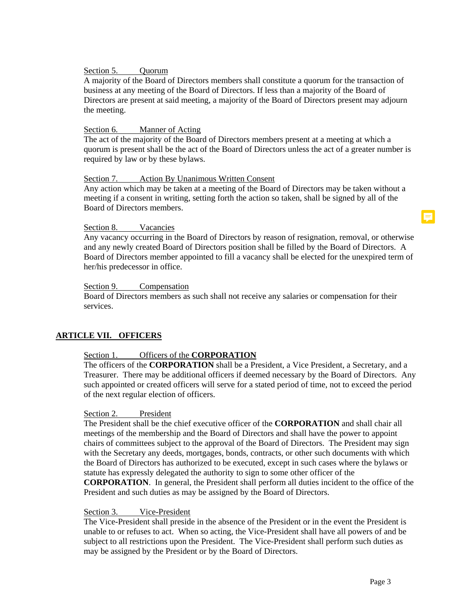# Section 5. Ouorum

A majority of the Board of Directors members shall constitute a quorum for the transaction of business at any meeting of the Board of Directors. If less than a majority of the Board of Directors are present at said meeting, a majority of the Board of Directors present may adjourn the meeting.

#### Section 6. Manner of Acting

The act of the majority of the Board of Directors members present at a meeting at which a quorum is present shall be the act of the Board of Directors unless the act of a greater number is required by law or by these bylaws.

#### Section 7. Action By Unanimous Written Consent

Any action which may be taken at a meeting of the Board of Directors may be taken without a meeting if a consent in writing, setting forth the action so taken, shall be signed by all of the Board of Directors members.

#### Section 8. Vacancies

Any vacancy occurring in the Board of Directors by reason of resignation, removal, or otherwise and any newly created Board of Directors position shall be filled by the Board of Directors. A Board of Directors member appointed to fill a vacancy shall be elected for the unexpired term of her/his predecessor in office.

#### Section 9. Compensation

Board of Directors members as such shall not receive any salaries or compensation for their services.

# **ARTICLE VII. OFFICERS**

# Section 1. Officers of the **CORPORATION**

The officers of the **CORPORATION** shall be a President, a Vice President, a Secretary, and a Treasurer. There may be additional officers if deemed necessary by the Board of Directors. Any such appointed or created officers will serve for a stated period of time, not to exceed the period of the next regular election of officers.

# Section 2. President

The President shall be the chief executive officer of the **CORPORATION** and shall chair all meetings of the membership and the Board of Directors and shall have the power to appoint chairs of committees subject to the approval of the Board of Directors. The President may sign with the Secretary any deeds, mortgages, bonds, contracts, or other such documents with which the Board of Directors has authorized to be executed, except in such cases where the bylaws or statute has expressly delegated the authority to sign to some other officer of the **CORPORATION**. In general, the President shall perform all duties incident to the office of the President and such duties as may be assigned by the Board of Directors.

#### Section 3. Vice-President

The Vice-President shall preside in the absence of the President or in the event the President is unable to or refuses to act. When so acting, the Vice-President shall have all powers of and be subject to all restrictions upon the President. The Vice-President shall perform such duties as may be assigned by the President or by the Board of Directors.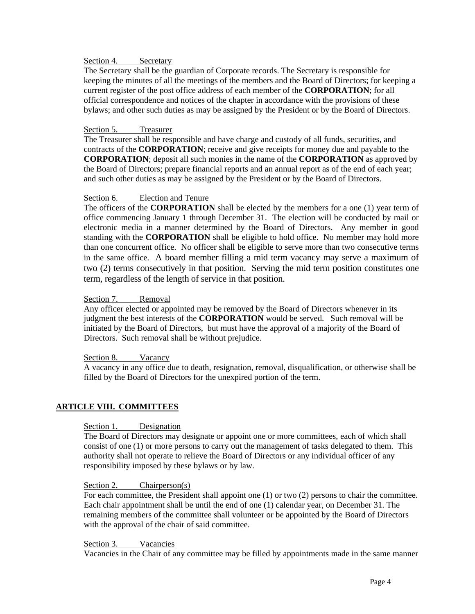# Section 4. Secretary

The Secretary shall be the guardian of Corporate records. The Secretary is responsible for keeping the minutes of all the meetings of the members and the Board of Directors; for keeping a current register of the post office address of each member of the **CORPORATION**; for all official correspondence and notices of the chapter in accordance with the provisions of these bylaws; and other such duties as may be assigned by the President or by the Board of Directors.

# Section 5. Treasurer

The Treasurer shall be responsible and have charge and custody of all funds, securities, and contracts of the **CORPORATION**; receive and give receipts for money due and payable to the **CORPORATION**; deposit all such monies in the name of the **CORPORATION** as approved by the Board of Directors; prepare financial reports and an annual report as of the end of each year; and such other duties as may be assigned by the President or by the Board of Directors.

#### Section 6. Election and Tenure

 The officers of the **CORPORATION** shall be elected by the members for a one (1) year term of office commencing January 1 through December 31. The election will be conducted by mail or electronic media in a manner determined by the Board of Directors. Any member in good standing with the **CORPORATION** shall be eligible to hold office. No member may hold more than one concurrent office. No officer shall be eligible to serve more than two consecutive terms in the same office. A board member filling a mid term vacancy may serve a maximum of two (2) terms consecutively in that position. Serving the mid term position constitutes one term, regardless of the length of service in that position.

#### Section 7. Removal

Any officer elected or appointed may be removed by the Board of Directors whenever in its judgment the best interests of the **CORPORATION** would be served. Such removal will be initiated by the Board of Directors, but must have the approval of a majority of the Board of Directors. Such removal shall be without prejudice.

#### Section 8. Vacancy

A vacancy in any office due to death, resignation, removal, disqualification, or otherwise shall be filled by the Board of Directors for the unexpired portion of the term.

# **ARTICLE VIII. COMMITTEES**

# Section 1. Designation

The Board of Directors may designate or appoint one or more committees, each of which shall consist of one (1) or more persons to carry out the management of tasks delegated to them. This authority shall not operate to relieve the Board of Directors or any individual officer of any responsibility imposed by these bylaws or by law.

#### Section 2. Chairperson(s)

For each committee, the President shall appoint one (1) or two (2) persons to chair the committee. Each chair appointment shall be until the end of one (1) calendar year, on December 31. The remaining members of the committee shall volunteer or be appointed by the Board of Directors with the approval of the chair of said committee.

#### Section 3. Vacancies

Vacancies in the Chair of any committee may be filled by appointments made in the same manner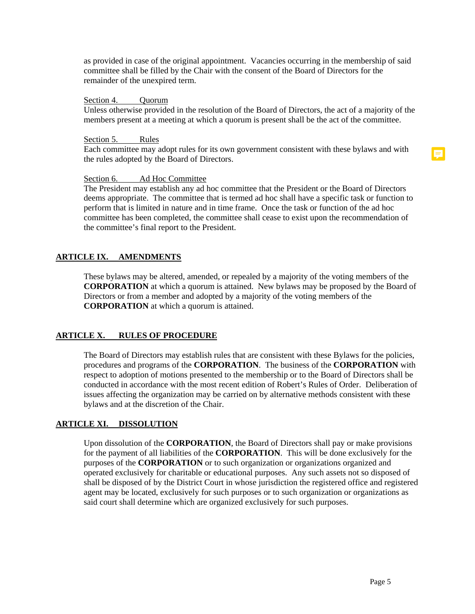as provided in case of the original appointment. Vacancies occurring in the membership of said committee shall be filled by the Chair with the consent of the Board of Directors for the remainder of the unexpired term.

#### Section 4. Ouorum

Unless otherwise provided in the resolution of the Board of Directors, the act of a majority of the members present at a meeting at which a quorum is present shall be the act of the committee.

#### Section 5. Rules

Each committee may adopt rules for its own government consistent with these bylaws and with the rules adopted by the Board of Directors.

### Section 6. Ad Hoc Committee

The President may establish any ad hoc committee that the President or the Board of Directors deems appropriate. The committee that is termed ad hoc shall have a specific task or function to perform that is limited in nature and in time frame. Once the task or function of the ad hoc committee has been completed, the committee shall cease to exist upon the recommendation of the committee's final report to the President.

# **ARTICLE IX. AMENDMENTS**

These bylaws may be altered, amended, or repealed by a majority of the voting members of the **CORPORATION** at which a quorum is attained. New bylaws may be proposed by the Board of Directors or from a member and adopted by a majority of the voting members of the **CORPORATION** at which a quorum is attained.

#### **ARTICLE X. RULES OF PROCEDURE**

The Board of Directors may establish rules that are consistent with these Bylaws for the policies, procedures and programs of the **CORPORATION**. The business of the **CORPORATION** with respect to adoption of motions presented to the membership or to the Board of Directors shall be conducted in accordance with the most recent edition of Robert's Rules of Order. Deliberation of issues affecting the organization may be carried on by alternative methods consistent with these bylaws and at the discretion of the Chair.

# **ARTICLE XI. DISSOLUTION**

Upon dissolution of the **CORPORATION**, the Board of Directors shall pay or make provisions for the payment of all liabilities of the **CORPORATION**. This will be done exclusively for the purposes of the **CORPORATION** or to such organization or organizations organized and operated exclusively for charitable or educational purposes. Any such assets not so disposed of shall be disposed of by the District Court in whose jurisdiction the registered office and registered agent may be located, exclusively for such purposes or to such organization or organizations as said court shall determine which are organized exclusively for such purposes.